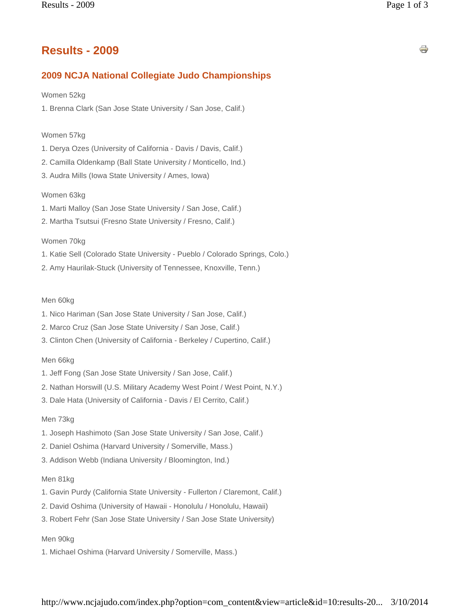# **Results - 2009**

## **2009 NCJA National Collegiate Judo Championships**

### Women 52kg

1. Brenna Clark (San Jose State University / San Jose, Calif.)

### Women 57kg

- 1. Derya Ozes (University of California Davis / Davis, Calif.)
- 2. Camilla Oldenkamp (Ball State University / Monticello, Ind.)
- 3. Audra Mills (Iowa State University / Ames, Iowa)

### Women 63kg

- 1. Marti Malloy (San Jose State University / San Jose, Calif.)
- 2. Martha Tsutsui (Fresno State University / Fresno, Calif.)

Women 70kg

- 1. Katie Sell (Colorado State University Pueblo / Colorado Springs, Colo.)
- 2. Amy Haurilak-Stuck (University of Tennessee, Knoxville, Tenn.)

### Men 60kg

- 1. Nico Hariman (San Jose State University / San Jose, Calif.)
- 2. Marco Cruz (San Jose State University / San Jose, Calif.)
- 3. Clinton Chen (University of California Berkeley / Cupertino, Calif.)

#### Men 66kg

- 1. Jeff Fong (San Jose State University / San Jose, Calif.)
- 2. Nathan Horswill (U.S. Military Academy West Point / West Point, N.Y.)
- 3. Dale Hata (University of California Davis / El Cerrito, Calif.)

#### Men 73kg

- 1. Joseph Hashimoto (San Jose State University / San Jose, Calif.)
- 2. Daniel Oshima (Harvard University / Somerville, Mass.)
- 3. Addison Webb (Indiana University / Bloomington, Ind.)

#### Men 81kg

- 1. Gavin Purdy (California State University Fullerton / Claremont, Calif.)
- 2. David Oshima (University of Hawaii Honolulu / Honolulu, Hawaii)
- 3. Robert Fehr (San Jose State University / San Jose State University)

### Men 90kg

1. Michael Oshima (Harvard University / Somerville, Mass.)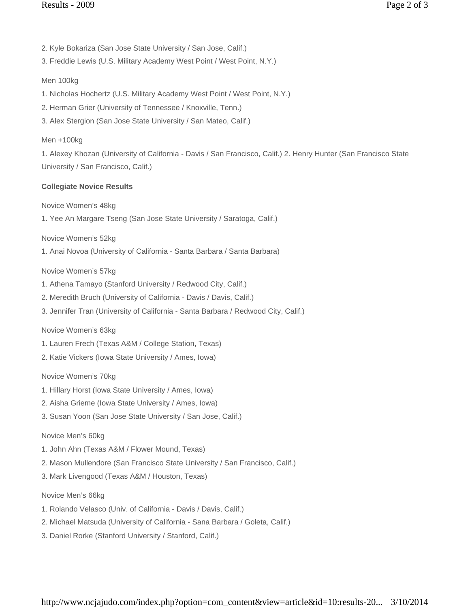- 2. Kyle Bokariza (San Jose State University / San Jose, Calif.)
- 3. Freddie Lewis (U.S. Military Academy West Point / West Point, N.Y.)

# Men 100kg

- 1. Nicholas Hochertz (U.S. Military Academy West Point / West Point, N.Y.)
- 2. Herman Grier (University of Tennessee / Knoxville, Tenn.)
- 3. Alex Stergion (San Jose State University / San Mateo, Calif.)

## Men +100kg

1. Alexey Khozan (University of California - Davis / San Francisco, Calif.) 2. Henry Hunter (San Francisco State University / San Francisco, Calif.)

# **Collegiate Novice Results**

Novice Women's 48kg

1. Yee An Margare Tseng (San Jose State University / Saratoga, Calif.)

Novice Women's 52kg

1. Anai Novoa (University of California - Santa Barbara / Santa Barbara)

# Novice Women's 57kg

- 1. Athena Tamayo (Stanford University / Redwood City, Calif.)
- 2. Meredith Bruch (University of California Davis / Davis, Calif.)
- 3. Jennifer Tran (University of California Santa Barbara / Redwood City, Calif.)

### Novice Women's 63kg

- 1. Lauren Frech (Texas A&M / College Station, Texas)
- 2. Katie Vickers (Iowa State University / Ames, Iowa)

# Novice Women's 70kg

- 1. Hillary Horst (Iowa State University / Ames, Iowa)
- 2. Aisha Grieme (Iowa State University / Ames, Iowa)
- 3. Susan Yoon (San Jose State University / San Jose, Calif.)

### Novice Men's 60kg

- 1. John Ahn (Texas A&M / Flower Mound, Texas)
- 2. Mason Mullendore (San Francisco State University / San Francisco, Calif.)
- 3. Mark Livengood (Texas A&M / Houston, Texas)

### Novice Men's 66kg

- 1. Rolando Velasco (Univ. of California Davis / Davis, Calif.)
- 2. Michael Matsuda (University of California Sana Barbara / Goleta, Calif.)
- 3. Daniel Rorke (Stanford University / Stanford, Calif.)